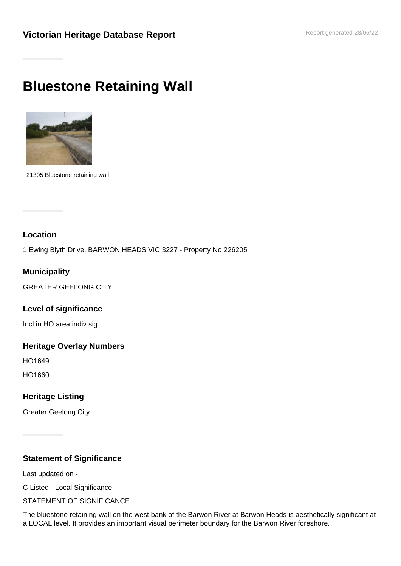# **Bluestone Retaining Wall**



21305 Bluestone retaining wall

## **Location**

1 Ewing Blyth Drive, BARWON HEADS VIC 3227 - Property No 226205

## **Municipality**

GREATER GEELONG CITY

## **Level of significance**

Incl in HO area indiv sig

## **Heritage Overlay Numbers**

HO1649

HO1660

## **Heritage Listing**

Greater Geelong City

## **Statement of Significance**

Last updated on -

C Listed - Local Significance

STATEMENT OF SIGNIFICANCE

The bluestone retaining wall on the west bank of the Barwon River at Barwon Heads is aesthetically significant at a LOCAL level. It provides an important visual perimeter boundary for the Barwon River foreshore.